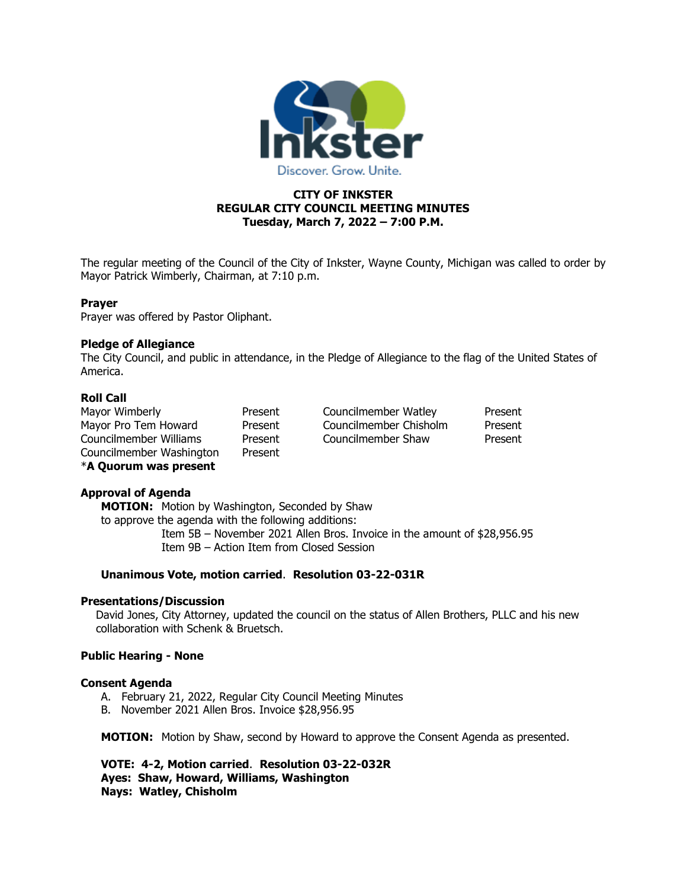

## **CITY OF INKSTER REGULAR CITY COUNCIL MEETING MINUTES Tuesday, March 7, 2022 – 7:00 P.M.**

The regular meeting of the Council of the City of Inkster, Wayne County, Michigan was called to order by Mayor Patrick Wimberly, Chairman, at 7:10 p.m.

#### **Prayer**

Prayer was offered by Pastor Oliphant.

#### **Pledge of Allegiance**

The City Council, and public in attendance, in the Pledge of Allegiance to the flag of the United States of America.

### **Roll Call**

| Mayor Wimberly           | Present | Councilmember Watley   | Present |
|--------------------------|---------|------------------------|---------|
| Mayor Pro Tem Howard     | Present | Councilmember Chisholm | Present |
| Councilmember Williams   | Present | Councilmember Shaw     | Present |
| Councilmember Washington | Present |                        |         |
| *A Quorum was present    |         |                        |         |

## **Approval of Agenda**

**MOTION:** Motion by Washington, Seconded by Shaw to approve the agenda with the following additions: Item 5B – November 2021 Allen Bros. Invoice in the amount of \$28,956.95

Item 9B – Action Item from Closed Session

### **Unanimous Vote, motion carried**. **Resolution 03-22-031R**

#### **Presentations/Discussion**

David Jones, City Attorney, updated the council on the status of Allen Brothers, PLLC and his new collaboration with Schenk & Bruetsch.

## **Public Hearing - None**

#### **Consent Agenda**

- A. February 21, 2022, Regular City Council Meeting Minutes
- B. November 2021 Allen Bros. Invoice \$28,956.95

**MOTION:** Motion by Shaw, second by Howard to approve the Consent Agenda as presented.

**VOTE: 4-2, Motion carried**. **Resolution 03-22-032R Ayes: Shaw, Howard, Williams, Washington Nays: Watley, Chisholm**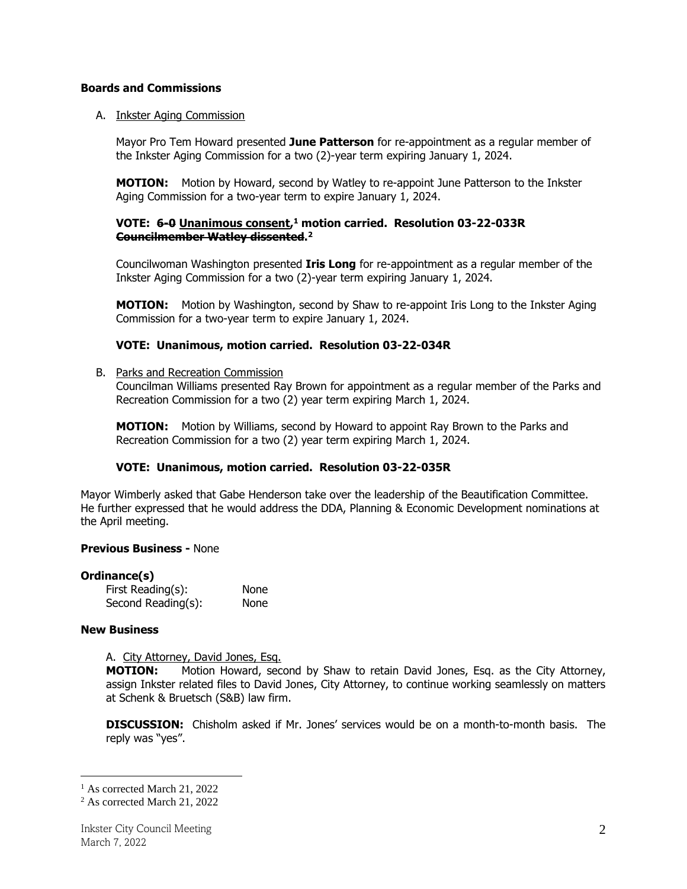### **Boards and Commissions**

### A. Inkster Aging Commission

Mayor Pro Tem Howard presented **June Patterson** for re-appointment as a regular member of the Inkster Aging Commission for a two (2)-year term expiring January 1, 2024.

**MOTION:** Motion by Howard, second by Watley to re-appoint June Patterson to the Inkster Aging Commission for a two-year term to expire January 1, 2024.

### **VOTE: 6-0 Unanimous consent, <sup>1</sup> motion carried. Resolution 03-22-033R Councilmember Watley dissented. 2**

Councilwoman Washington presented **Iris Long** for re-appointment as a regular member of the Inkster Aging Commission for a two (2)-year term expiring January 1, 2024.

**MOTION:** Motion by Washington, second by Shaw to re-appoint Iris Long to the Inkster Aging Commission for a two-year term to expire January 1, 2024.

### **VOTE: Unanimous, motion carried. Resolution 03-22-034R**

#### B. Parks and Recreation Commission

Councilman Williams presented Ray Brown for appointment as a regular member of the Parks and Recreation Commission for a two (2) year term expiring March 1, 2024.

**MOTION:** Motion by Williams, second by Howard to appoint Ray Brown to the Parks and Recreation Commission for a two (2) year term expiring March 1, 2024.

## **VOTE: Unanimous, motion carried. Resolution 03-22-035R**

Mayor Wimberly asked that Gabe Henderson take over the leadership of the Beautification Committee. He further expressed that he would address the DDA, Planning & Economic Development nominations at the April meeting.

#### **Previous Business -** None

#### **Ordinance(s)**

| First Reading(s):  | None |
|--------------------|------|
| Second Reading(s): | None |

#### **New Business**

A. City Attorney, David Jones, Esq.

**MOTION:** Motion Howard, second by Shaw to retain David Jones, Esq. as the City Attorney, assign Inkster related files to David Jones, City Attorney, to continue working seamlessly on matters at Schenk & Bruetsch (S&B) law firm.

**DISCUSSION:** Chisholm asked if Mr. Jones' services would be on a month-to-month basis. The reply was "yes".

<sup>&</sup>lt;sup>1</sup> As corrected March 21, 2022

<sup>2</sup> As corrected March 21, 2022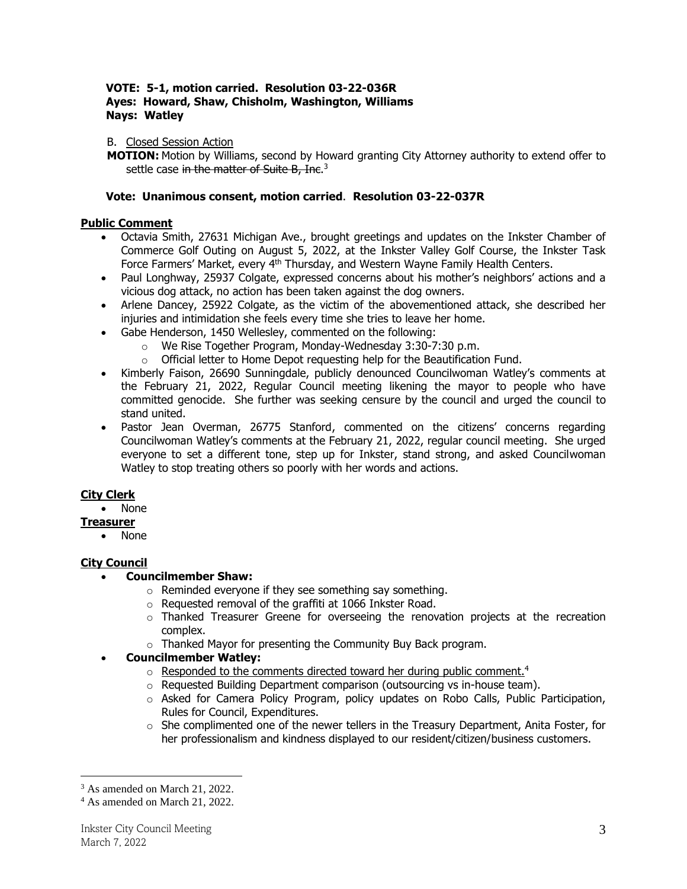## **VOTE: 5-1, motion carried. Resolution 03-22-036R Ayes: Howard, Shaw, Chisholm, Washington, Williams Nays: Watley**

## B. Closed Session Action

**MOTION:** Motion by Williams, second by Howard granting City Attorney authority to extend offer to settle case <del>in the matter of Suite B, Inc</del>.<sup>3</sup>

## **Vote: Unanimous consent, motion carried**. **Resolution 03-22-037R**

## **Public Comment**

- Octavia Smith, 27631 Michigan Ave., brought greetings and updates on the Inkster Chamber of Commerce Golf Outing on August 5, 2022, at the Inkster Valley Golf Course, the Inkster Task Force Farmers' Market, every 4<sup>th</sup> Thursday, and Western Wayne Family Health Centers.
- Paul Longhway, 25937 Colgate, expressed concerns about his mother's neighbors' actions and a vicious dog attack, no action has been taken against the dog owners.
- Arlene Dancey, 25922 Colgate, as the victim of the abovementioned attack, she described her injuries and intimidation she feels every time she tries to leave her home.
- Gabe Henderson, 1450 Wellesley, commented on the following:
	- o We Rise Together Program, Monday-Wednesday 3:30-7:30 p.m.
	- o Official letter to Home Depot requesting help for the Beautification Fund.
- Kimberly Faison, 26690 Sunningdale, publicly denounced Councilwoman Watley's comments at the February 21, 2022, Regular Council meeting likening the mayor to people who have committed genocide. She further was seeking censure by the council and urged the council to stand united.
- Pastor Jean Overman, 26775 Stanford, commented on the citizens' concerns regarding Councilwoman Watley's comments at the February 21, 2022, regular council meeting. She urged everyone to set a different tone, step up for Inkster, stand strong, and asked Councilwoman Watley to stop treating others so poorly with her words and actions.

# **City Clerk**

• None

## **Treasurer**

• None

# **City Council**

- **Councilmember Shaw:**
	- $\circ$  Reminded everyone if they see something say something.
	- o Requested removal of the graffiti at 1066 Inkster Road.
	- o Thanked Treasurer Greene for overseeing the renovation projects at the recreation complex.
	- o Thanked Mayor for presenting the Community Buy Back program.

# • **Councilmember Watley:**

- o Responded to the comments directed toward her during public comment.<sup>4</sup>
- o Requested Building Department comparison (outsourcing vs in-house team).
- o Asked for Camera Policy Program, policy updates on Robo Calls, Public Participation, Rules for Council, Expenditures.
- $\circ$  She complimented one of the newer tellers in the Treasury Department, Anita Foster, for her professionalism and kindness displayed to our resident/citizen/business customers.

 $3$  As amended on March 21, 2022.

<sup>4</sup> As amended on March 21, 2022.